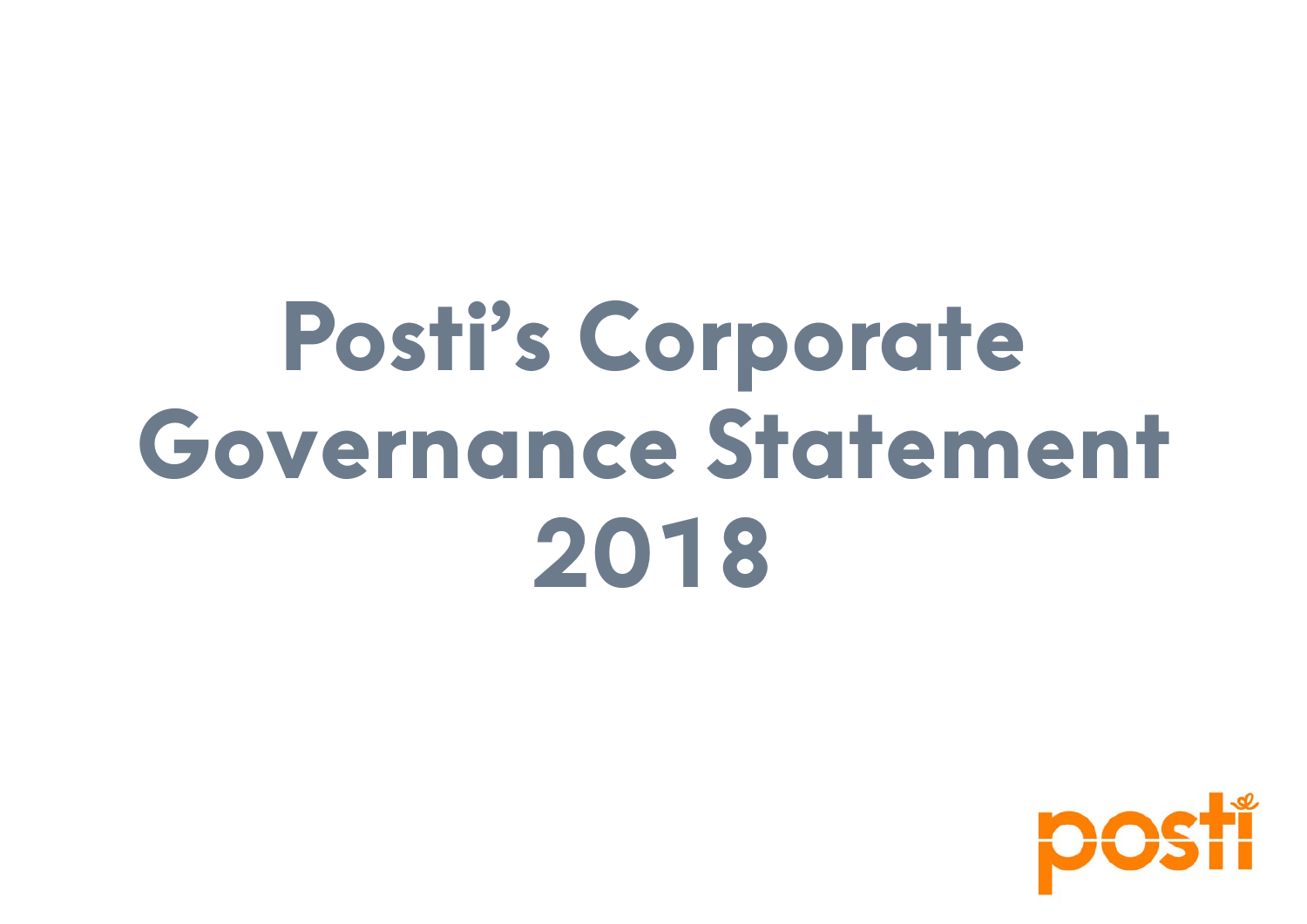# **Posti's Corporate Governance Statement 2018**

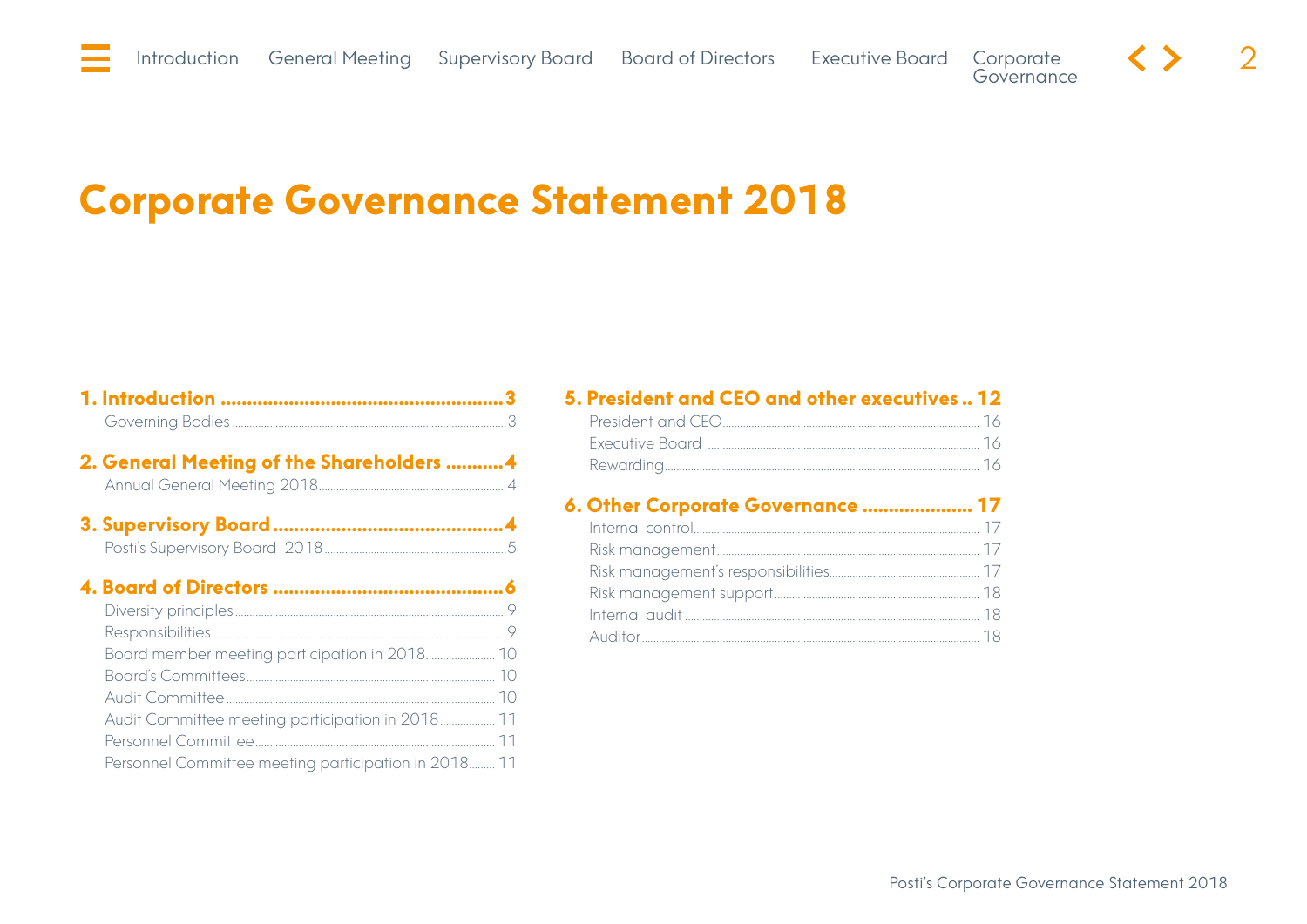$\langle \rangle$ 

# **Corporate Governance Statement 2018**

| 2. General Meeting of the Shareholders 4             |  |
|------------------------------------------------------|--|
|                                                      |  |
|                                                      |  |
|                                                      |  |
|                                                      |  |
|                                                      |  |
|                                                      |  |
|                                                      |  |
|                                                      |  |
|                                                      |  |
| Audit Committee meeting participation in 2018 11     |  |
|                                                      |  |
| Personnel Committee meeting participation in 2018 11 |  |

# 5. President and CEO and other executives .. 12

# 6. Other Corporate Governance ..................... 17

 $\overline{2}$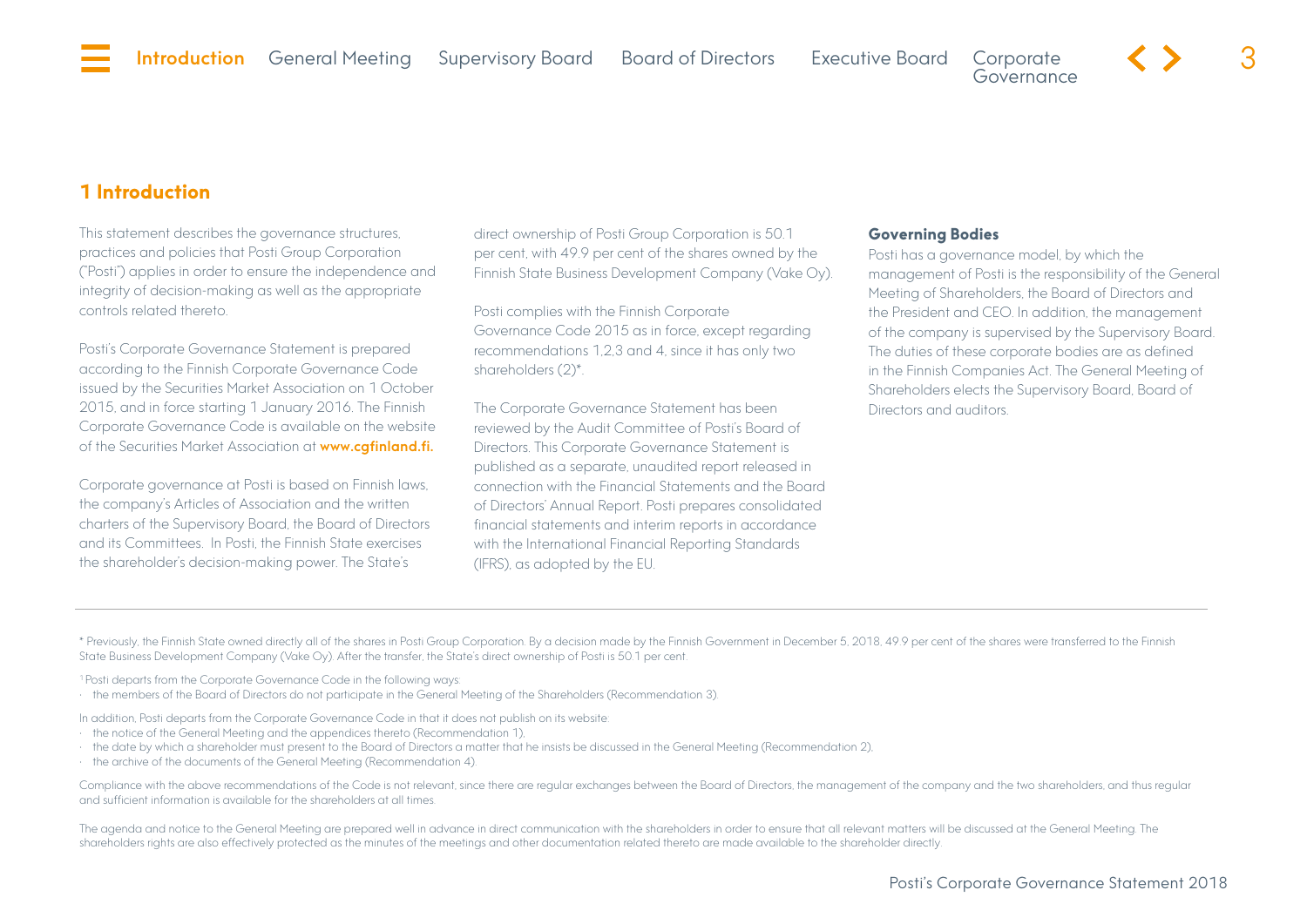# <span id="page-2-0"></span>**1 Introduction**

This statement describes the governance structures, practices and policies that Posti Group Corporation ("Posti") applies in order to ensure the independence and integrity of decision-making as well as the appropriate controls related thereto.

Posti's Corporate Governance Statement is prepared according to the Finnish Corporate Governance Code issued by the Securities Market Association on 1 October 2015, and in force starting 1 January 2016. The Finnish Corporate Governance Code is available on the website of the Securities Market Association at www.cgfinland.fi.

Corporate governance at Posti is based on Finnish laws, the company's Articles of Association and the written charters of the Supervisory Board, the Board of Directors and its Committees. In Posti, the Finnish State exercises the shareholder's decision-making power. The State's

direct ownership of Posti Group Corporation is 50.1 per cent, with 49.9 per cent of the shares owned by the Finnish State Business Development Company (Vake Oy).

Posti complies with the Finnish Corporate Governance Code 2015 as in force, except regarding recommendations 1,2,3 and 4, since it has only two shareholders (2)\*.

The Corporate Governance Statement has been reviewed by the Audit Committee of Posti's Board of Directors. This Corporate Governance Statement is published as a separate, unaudited report released in connection with the Financial Statements and the Board of Directors' Annual Report. Posti prepares consolidated financial statements and interim reports in accordance with the International Financial Reporting Standards (IFRS), as adopted by the EU.

#### **Governing Bodies**

Posti has a governance model, by which the management of Posti is the responsibility of the General Meeting of Shareholders, the Board of Directors and the President and CEO. In addition, the management of the company is supervised by the Supervisory Board. The duties of these corporate bodies are as defined in the Finnish Companies Act. The General Meeting of Shareholders elects the Supervisory Board, Board of Directors and auditors.

\* Previously, the Finnish State owned directly all of the shares in Posti Group Corporation. By a decision made by the Finnish Government in December 5, 2018, 49.9 per cent of the shares were transferred to the Finnish State Business Development Company (Vake Oy). After the transfer, the State's direct ownership of Posti is 50.1 per cent.

1 Posti departs from the Corporate Governance Code in the following ways:

• the members of the Board of Directors do not participate in the General Meeting of the Shareholders (Recommendation 3).

In addition, Posti departs from the Corporate Governance Code in that it does not publish on its website:

- the notice of the General Meeting and the appendices thereto (Recommendation 1),
- the date by which a shareholder must present to the Board of Directors a matter that he insists be discussed in the General Meeting (Recommendation 2),
- the archive of the documents of the General Meeting (Recommendation 4).

Compliance with the above recommendations of the Code is not relevant, since there are regular exchanges between the Board of Directors, the management of the company and the two shareholders, and thus regular and sufficient information is available for the shareholders at all times.

The agenda and notice to the General Meeting are prepared well in advance in direct communication with the shareholders in order to ensure that all relevant matters will be discussed at the General Meeting. The shareholders rights are also effectively protected as the minutes of the meetings and other documentation related thereto are made available to the shareholder directly.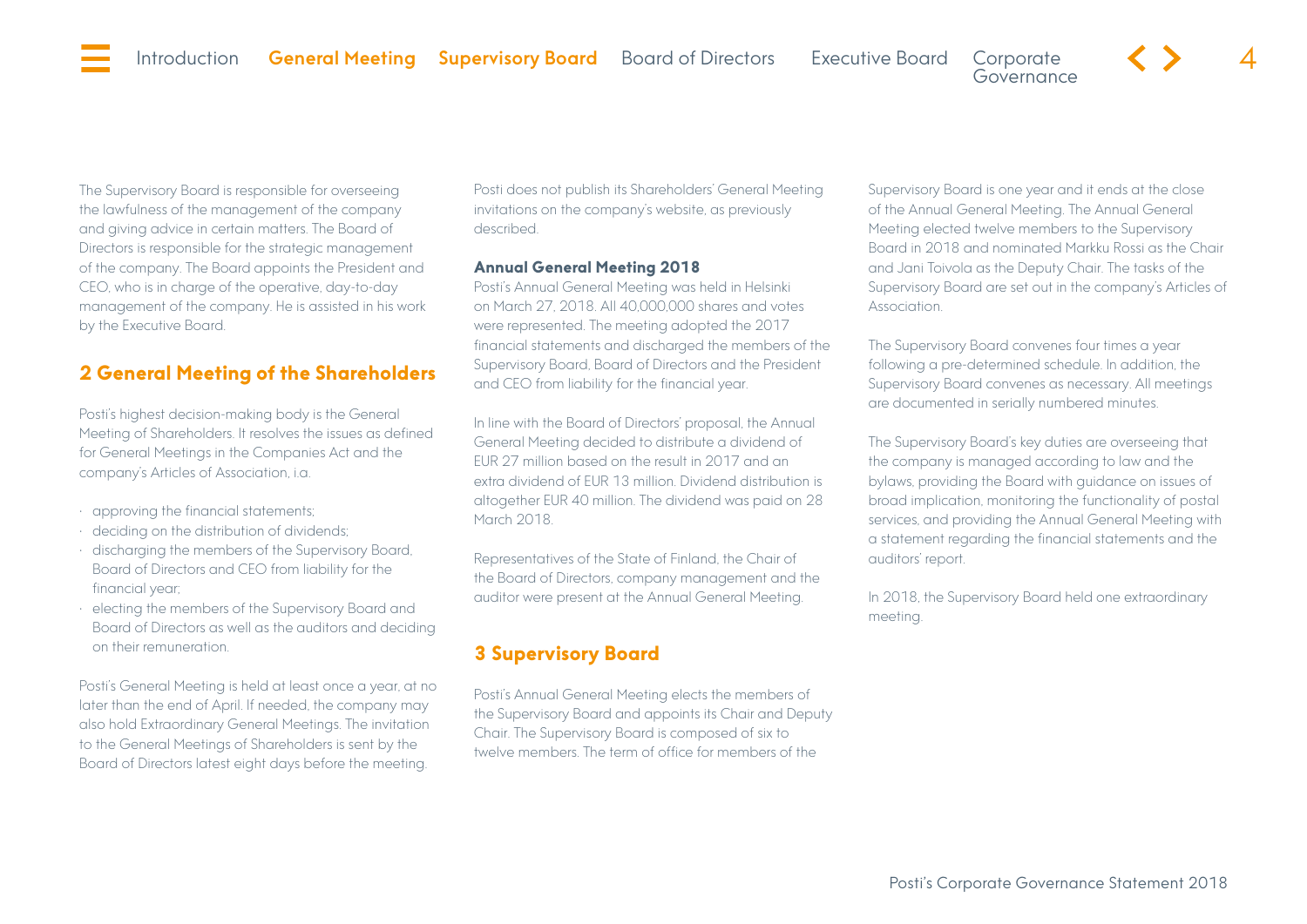<span id="page-3-0"></span>The Supervisory Board is responsible for overseeing the lawfulness of the management of the company and giving advice in certain matters. The Board of Directors is responsible for the strategic management of the company. The Board appoints the President and CEO, who is in charge of the operative, day-to-day management of the company. He is assisted in his work by the Executive Board.

# **2 General Meeting of the Shareholders**

Posti's highest decision-making body is the General Meeting of Shareholders. It resolves the issues as defined for General Meetings in the Companies Act and the company's Articles of Association, i.a.

- approving the financial statements;
- deciding on the distribution of dividends;
- discharging the members of the Supervisory Board, Board of Directors and CEO from liability for the financial year;
- electing the members of the Supervisory Board and Board of Directors as well as the auditors and deciding on their remuneration.

Posti's General Meeting is held at least once a year, at no later than the end of April. If needed, the company may also hold Extraordinary General Meetings. The invitation to the General Meetings of Shareholders is sent by the Board of Directors latest eight days before the meeting.

Posti does not publish its Shareholders' General Meeting invitations on the company's website, as previously described.

#### **Annual General Meeting 2018**

Posti's Annual General Meeting was held in Helsinki on March 27, 2018. All 40,000,000 shares and votes were represented. The meeting adopted the 2017 financial statements and discharged the members of the Supervisory Board, Board of Directors and the President and CEO from liability for the financial year.

In line with the Board of Directors' proposal, the Annual General Meeting decided to distribute a dividend of EUR 27 million based on the result in 2017 and an extra dividend of EUR 13 million. Dividend distribution is altogether EUR 40 million. The dividend was paid on 28 March 2018.

Representatives of the State of Finland, the Chair of the Board of Directors, company management and the auditor were present at the Annual General Meeting.

# **3 Supervisory Board**

Posti's Annual General Meeting elects the members of the Supervisory Board and appoints its Chair and Deputy Chair. The Supervisory Board is composed of six to twelve members. The term of office for members of the

Supervisory Board is one year and it ends at the close of the Annual General Meeting. The Annual General Meeting elected twelve members to the Supervisory Board in 2018 and nominated Markku Rossi as the Chair and Jani Toivola as the Deputy Chair. The tasks of the Supervisory Board are set out in the company's Articles of Association.

The Supervisory Board convenes four times a year following a pre-determined schedule. In addition, the Supervisory Board convenes as necessary. All meetings are documented in serially numbered minutes.

The Supervisory Board's key duties are overseeing that the company is managed according to law and the bylaws, providing the Board with guidance on issues of broad implication, monitoring the functionality of postal services, and providing the Annual General Meeting with a statement regarding the financial statements and the auditors' report.

In 2018, the Supervisory Board held one extraordinary meeting.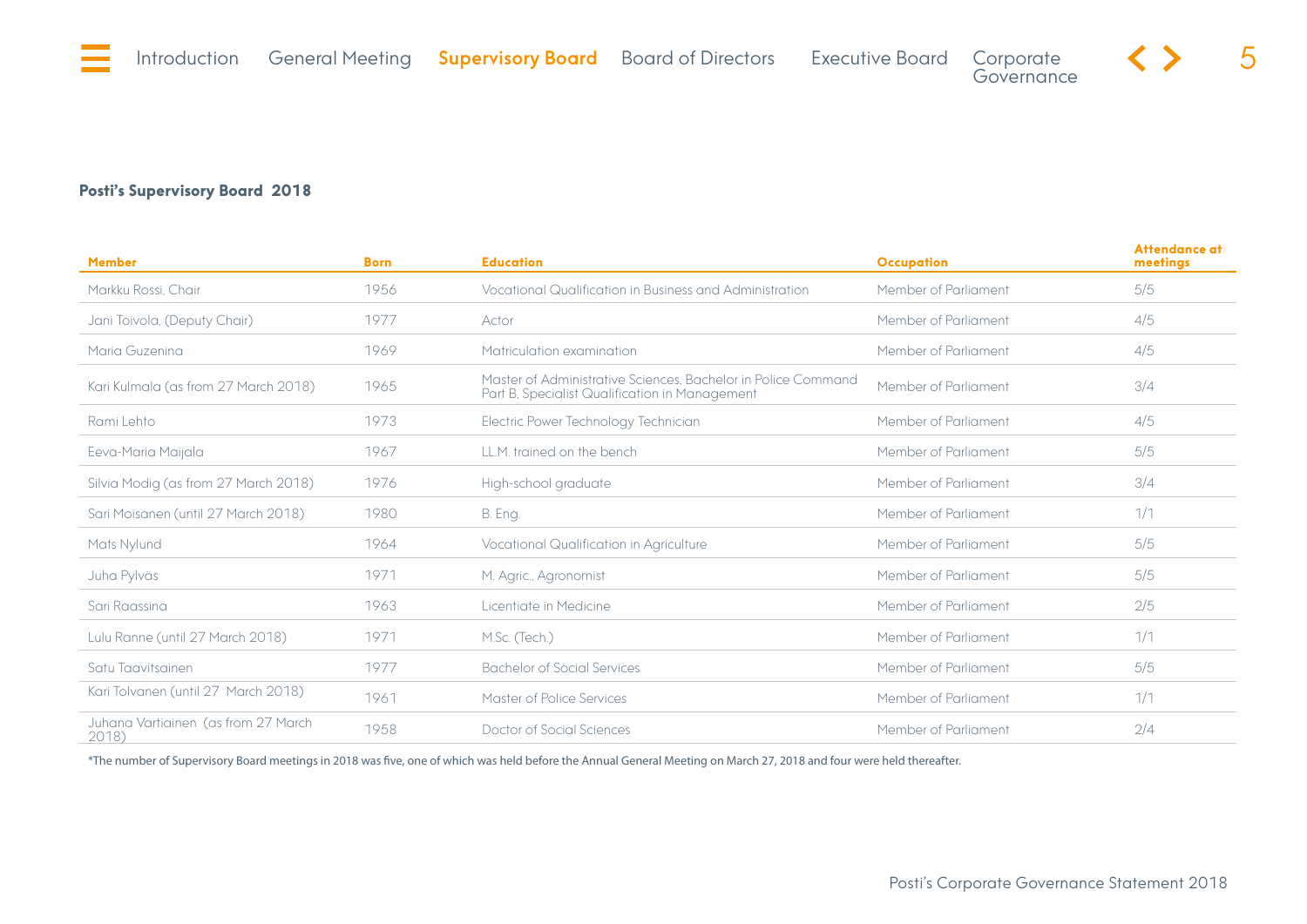# <span id="page-4-0"></span>**Posti's Supervisory Board 2018**

| <b>Member</b>                                | <b>Born</b> | <b>Education</b>                                                                                                | <b>Occupation</b>    | Attendance at<br>meetings |
|----------------------------------------------|-------------|-----------------------------------------------------------------------------------------------------------------|----------------------|---------------------------|
| Markku Rossi, Chair                          | 1956        | <b>Vocational Qualification in Business and Administration</b>                                                  | Member of Parliament | 5/5                       |
| Jani Toivola, (Deputy Chair)                 | 1977        | Actor                                                                                                           | Member of Parliament | 4/5                       |
| Maria Guzenina                               | 1969        | Matriculation examination                                                                                       | Member of Parliament | 4/5                       |
| Kari Kulmala (as from 27 March 2018)         | 1965        | Master of Administrative Sciences, Bachelor in Police Command<br>Part B, Specialist Qualification in Management | Member of Parliament | 3/4                       |
| Rami Lehto                                   | 1973        | Electric Power Technology Technician                                                                            | Member of Parliament | 4/5                       |
| Eeva-Maria Maijala                           | 1967        | LL.M. trained on the bench                                                                                      | Member of Parliament | 5/5                       |
| Silvia Modig (as from 27 March 2018)         | 1976        | High-school graduate                                                                                            | Member of Parliament | 3/4                       |
| Sari Moisanen (until 27 March 2018)          | 1980        | B. Eng.                                                                                                         | Member of Parliament | 1/1                       |
| Mats Nylund                                  | 1964        | <b>Vocational Qualification in Agriculture</b>                                                                  | Member of Parliament | 5/5                       |
| Juha Pylväs                                  | 1971        | M. Agric., Agronomist                                                                                           | Member of Parliament | 5/5                       |
| Sari Raassina                                | 1963        | Licentiate in Medicine                                                                                          | Member of Parliament | 2/5                       |
| Lulu Ranne (until 27 March 2018)             | 1971        | M.Sc. (Tech.)                                                                                                   | Member of Parliament | 1/1                       |
| Satu Taavitsainen                            | 1977        | <b>Bachelor of Social Services</b>                                                                              | Member of Parliament | 5/5                       |
| Kari Tolvanen (until 27 March 2018)          | 1961        | Master of Police Services                                                                                       | Member of Parliament | 1/1                       |
| Juhana Vartiainen (as from 27 March<br>2018) | 1958        | Doctor of Social Sciences                                                                                       | Member of Parliament | 2/4                       |

\*The number of Supervisory Board meetings in 2018 was five, one of which was held before the Annual General Meeting on March 27, 2018 and four were held thereafter.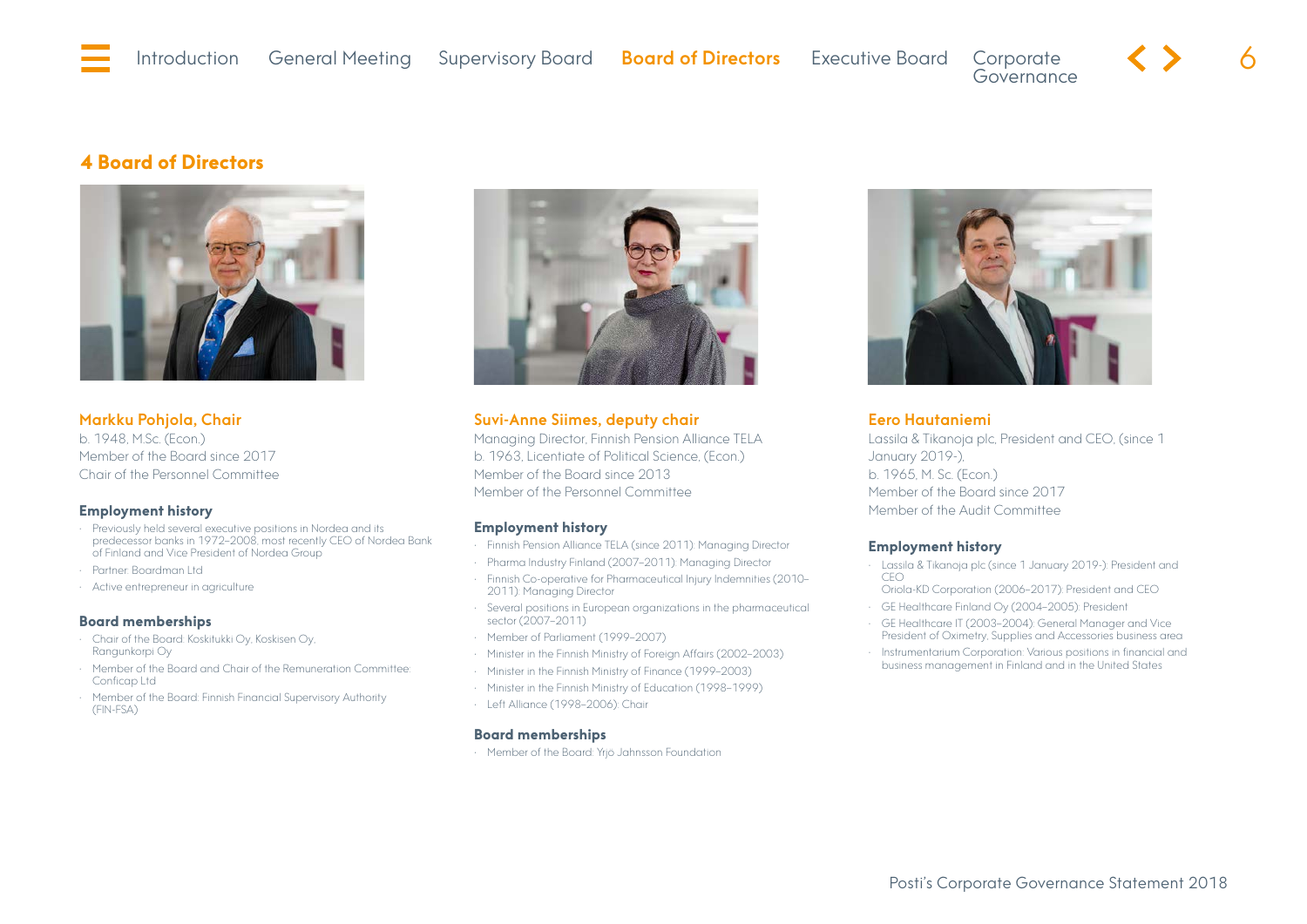# <span id="page-5-0"></span>**4 Board of Directors**



Markku Pohjola, Chair b. 1948, M.Sc. (Econ.) Member of the Board since 2017 Chair of the Personnel Committee

#### **Employment history**

- Previously held several executive positions in Nordea and its predecessor banks in 1972–2008, most recently CEO of Nordea Bank of Finland and Vice President of Nordea Group
- Partner: Boardman Ltd
- Active entrepreneur in agriculture

#### **Board memberships**

- Chair of the Board: Koskitukki Oy, Koskisen Oy, Rangunkorpi Oy
- Member of the Board and Chair of the Remuneration Committee: Conficap Ltd
- Member of the Board: Finnish Financial Supervisory Authority (FIN-FSA)



Suvi-Anne Siimes, deputy chair Managing Director, Finnish Pension Alliance TELA b. 1963, Licentiate of Political Science, (Econ.) Member of the Board since 2013 Member of the Personnel Committee

#### **Employment history**

- Finnish Pension Alliance TELA (since 2011): Managing Director
- Pharma Industry Finland (2007–2011): Managing Director
- Finnish Co-operative for Pharmaceutical Injury Indemnities (2010– 2011): Managing Director
- Several positions in European organizations in the pharmaceutical sector (2007–2011)
- Member of Parliament (1999–2007)
- Minister in the Finnish Ministry of Foreign Affairs (2002–2003)
- Minister in the Finnish Ministry of Finance (1999–2003)
- Minister in the Finnish Ministry of Education (1998–1999)
- Left Alliance (1998–2006): Chair

#### **Board memberships**

• Member of the Board: Yrjö Jahnsson Foundation



Eero Hautaniemi Lassila & Tikanoja plc, President and CEO, (since 1 January 2019-), b. 1965, M. Sc. (Econ.) Member of the Board since 2017 Member of the Audit Committee

#### **Employment history**

- Lassila & Tikanoja plc (since 1 January 2019-): President and CEO
- Oriola-KD Corporation (2006–2017): President and CEO
- GE Healthcare Finland Oy (2004–2005): President
- GE Healthcare IT (2003–2004): General Manager and Vice President of Oximetry, Supplies and Accessories business area
- Instrumentarium Corporation: Various positions in financial and business management in Finland and in the United States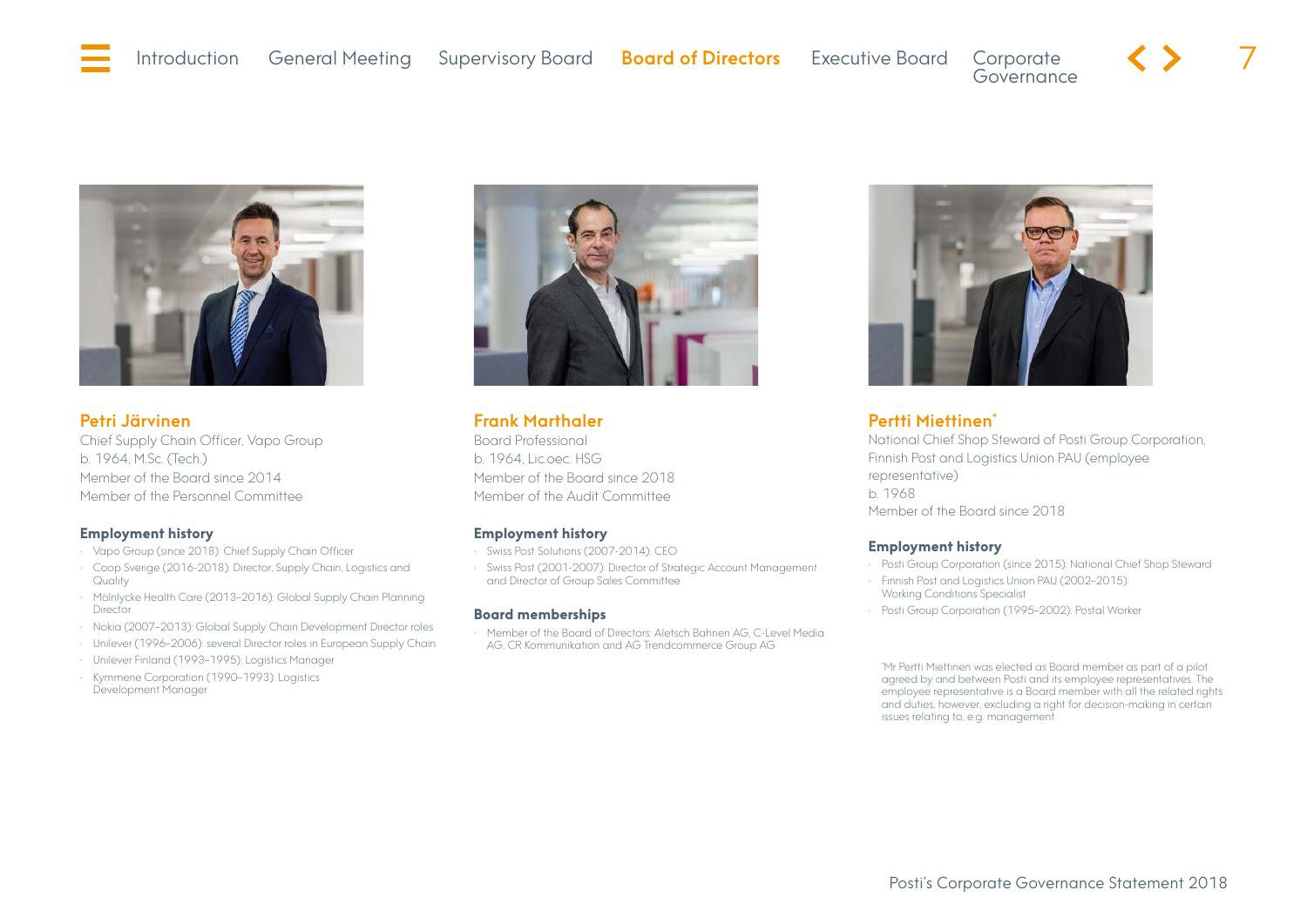

Petri Järvinen Chief Supply Chain Officer, Vapo Group b. 1964, M.Sc. (Tech.) Member of the Board since 2014 Member of the Personnel Committee

#### **Employment history**

- Vapo Group (since 2018): Chief Supply Chain Officer
- Coop Sverige (2016-2018): Director, Supply Chain, Logistics and **Quality**
- Mölnlycke Health Care (2013–2016): Global Supply Chain Planning Director
- Nokia (2007–2013): Global Supply Chain Development Director roles
- Unilever (1996–2006): several Director roles in European Supply Chain
- Unilever Finland (1993–1995): Logistics Manager
- Kymmene Corporation (1990–1993): Logistics Development Manager



Frank Marthaler Board Professional b. 1964, Lic.oec. HSG Member of the Board since 2018 Member of the Audit Committee

#### **Employment history**

- Swiss Post Solutions (2007-2014): CEO
- Swiss Post (2001-2007): Director of Strategic Account Management and Director of Group Sales Committee

#### **Board memberships**

• Member of the Board of Directors: Aletsch Bahnen AG, C-Level Media AG, CR Kommunikation and AG Trendcommerce Group AG



## Pertti Miettinen\*

National Chief Shop Steward of Posti Group Corporation, Finnish Post and Logistics Union PAU (employee representative) b. 1968 Member of the Board since 2018

#### **Employment history**

- Posti Group Corporation (since 2015): National Chief Shop Steward
- Finnish Post and Logistics Union PAU (2002–2015): Working Conditions Specialist
- Posti Group Corporation (1995–2002): Postal Worker

\* Mr Pertti Miettinen was elected as Board member as part of a pilot agreed by and between Posti and its employee representatives. The employee representative is a Board member with all the related rights and duties, however, excluding a right for decision-making in certain issues relating to, e.g. management.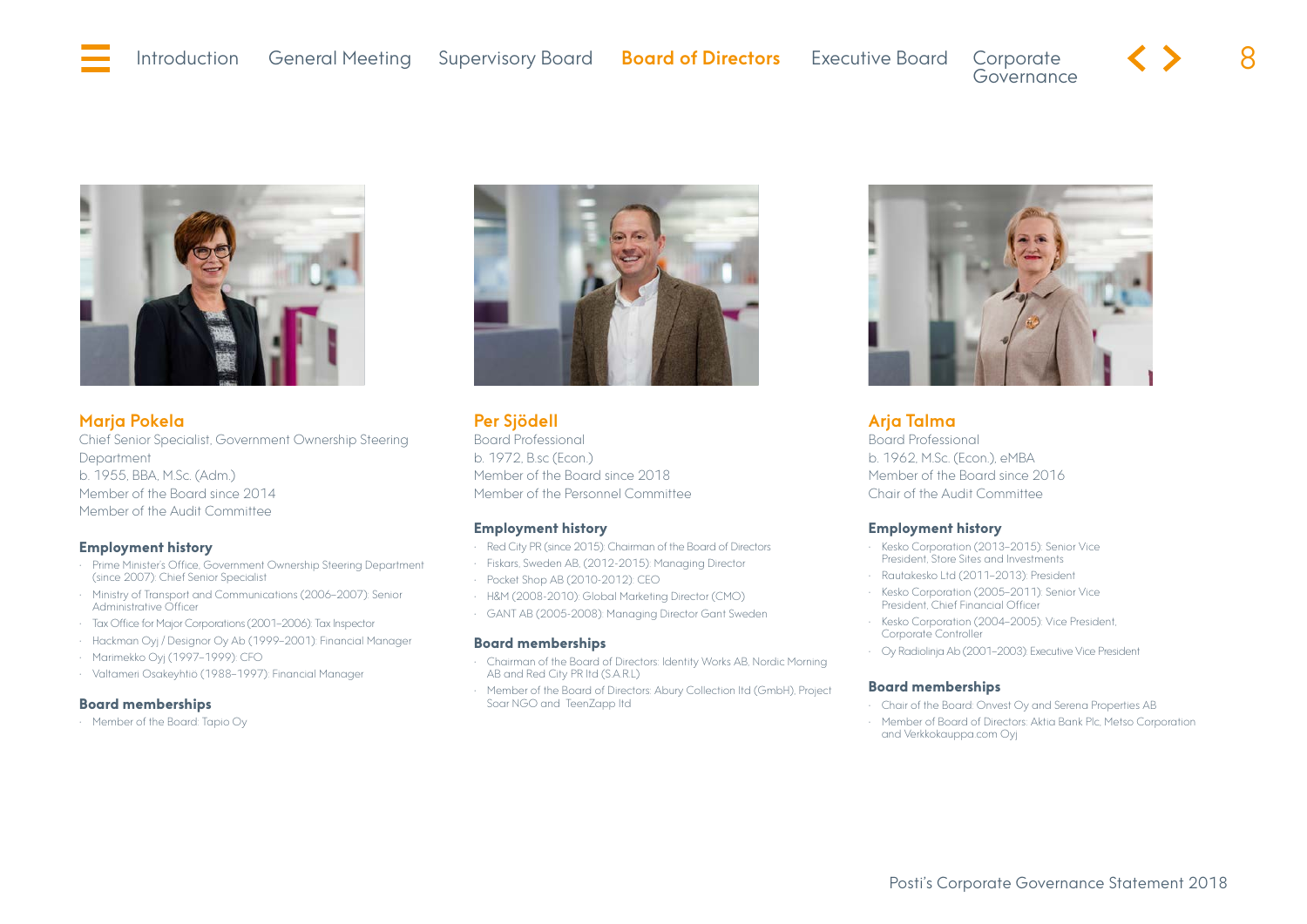

Marja Pokela Chief Senior Specialist, Government Ownership Steering **Department** b. 1955, BBA, M.Sc. (Adm.) Member of the Board since 2014 Member of the Audit Committee

#### **Employment history**

- Prime Minister's Office, Government Ownership Steering Department (since 2007): Chief Senior Specialist
- Ministry of Transport and Communications (2006–2007): Senior Administrative Officer
- Tax Office for Major Corporations (2001–2006): Tax Inspector
- Hackman Oyj / Designor Oy Ab (1999–2001): Financial Manager
- Marimekko Oyj (1997–1999): CFO
- Valtameri Osakeyhtiö (1988–1997): Financial Manager

#### **Board memberships**

• Member of the Board: Tapio Oy



Per Sjödell Board Professional b. 1972, B.sc (Econ.) Member of the Board since 2018 Member of the Personnel Committee

#### **Employment history**

- Red City PR (since 2015): Chairman of the Board of Directors
- Fiskars, Sweden AB, (2012-2015): Managing Director
- Pocket Shop AB (2010-2012): CEO
- H&M (2008-2010): Global Marketing Director (CMO)
- GANT AB (2005-2008): Managing Director Gant Sweden

#### **Board memberships**

- Chairman of the Board of Directors: Identity Works AB, Nordic Morning AB and Red City PR ltd (S.A.R.L)
- Member of the Board of Directors: Abury Collection ltd (GmbH), Project Soar NGO and TeenZapp ltd



Arja Talma Board Professional b. 1962, M.Sc. (Econ.), eMBA Member of the Board since 2016 Chair of the Audit Committee

#### **Employment history**

- Kesko Corporation (2013–2015): Senior Vice President, Store Sites and Investments
- Rautakesko Ltd (2011–2013): President
- Kesko Corporation (2005–2011): Senior Vice President, Chief Financial Officer
- Kesko Corporation (2004–2005): Vice President, Corporate Controller
- Oy Radiolinja Ab (2001–2003): Executive Vice President

#### **Board memberships**

- Chair of the Board: Onvest Oy and Serena Properties AB
- Member of Board of Directors: Aktia Bank Plc, Metso Corporation and Verkkokauppa.com Oyj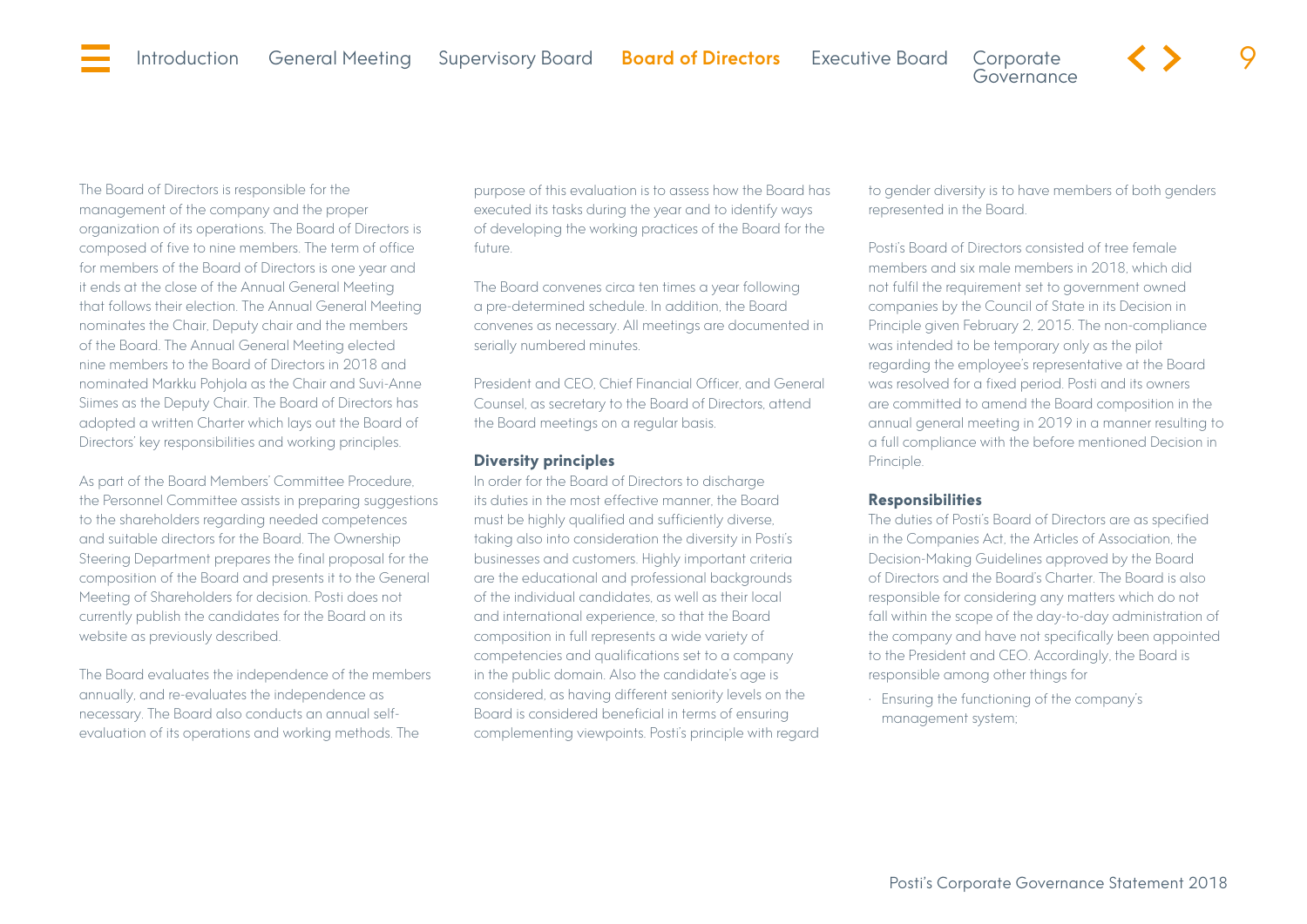<span id="page-8-0"></span>The Board of Directors is responsible for the management of the company and the proper organization of its operations. The Board of Directors is composed of five to nine members. The term of office for members of the Board of Directors is one year and it ends at the close of the Annual General Meeting that follows their election. The Annual General Meeting nominates the Chair, Deputy chair and the members of the Board. The Annual General Meeting elected nine members to the Board of Directors in 2018 and nominated Markku Pohjola as the Chair and Suvi-Anne Siimes as the Deputy Chair. The Board of Directors has adopted a written Charter which lays out the Board of Directors' key responsibilities and working principles.

As part of the Board Members' Committee Procedure, the Personnel Committee assists in preparing suggestions to the shareholders regarding needed competences and suitable directors for the Board. The Ownership Steering Department prepares the final proposal for the composition of the Board and presents it to the General Meeting of Shareholders for decision. Posti does not currently publish the candidates for the Board on its website as previously described.

The Board evaluates the independence of the members annually, and re-evaluates the independence as necessary. The Board also conducts an annual selfevaluation of its operations and working methods. The

purpose of this evaluation is to assess how the Board has executed its tasks during the year and to identify ways of developing the working practices of the Board for the future.

The Board convenes circa ten times a year following a pre-determined schedule. In addition, the Board convenes as necessary. All meetings are documented in serially numbered minutes.

President and CEO, Chief Financial Officer, and General Counsel, as secretary to the Board of Directors, attend the Board meetings on a regular basis.

#### **Diversity principles**

In order for the Board of Directors to discharge its duties in the most effective manner, the Board must be highly qualified and sufficiently diverse, taking also into consideration the diversity in Posti's businesses and customers. Highly important criteria are the educational and professional backgrounds of the individual candidates, as well as their local and international experience, so that the Board composition in full represents a wide variety of competencies and qualifications set to a company in the public domain. Also the candidate's age is considered, as having different seniority levels on the Board is considered beneficial in terms of ensuring complementing viewpoints. Posti's principle with regard to gender diversity is to have members of both genders represented in the Board.

Posti's Board of Directors consisted of tree female members and six male members in 2018, which did not fulfil the requirement set to government owned companies by the Council of State in its Decision in Principle given February 2, 2015. The non-compliance was intended to be temporary only as the pilot regarding the employee's representative at the Board was resolved for a fixed period. Posti and its owners are committed to amend the Board composition in the annual general meeting in 2019 in a manner resulting to a full compliance with the before mentioned Decision in Principle.

#### **Responsibilities**

The duties of Posti's Board of Directors are as specified in the Companies Act, the Articles of Association, the Decision-Making Guidelines approved by the Board of Directors and the Board's Charter. The Board is also responsible for considering any matters which do not fall within the scope of the day-to-day administration of the company and have not specifically been appointed to the President and CEO. Accordingly, the Board is responsible among other things for

• Ensuring the functioning of the company's management system;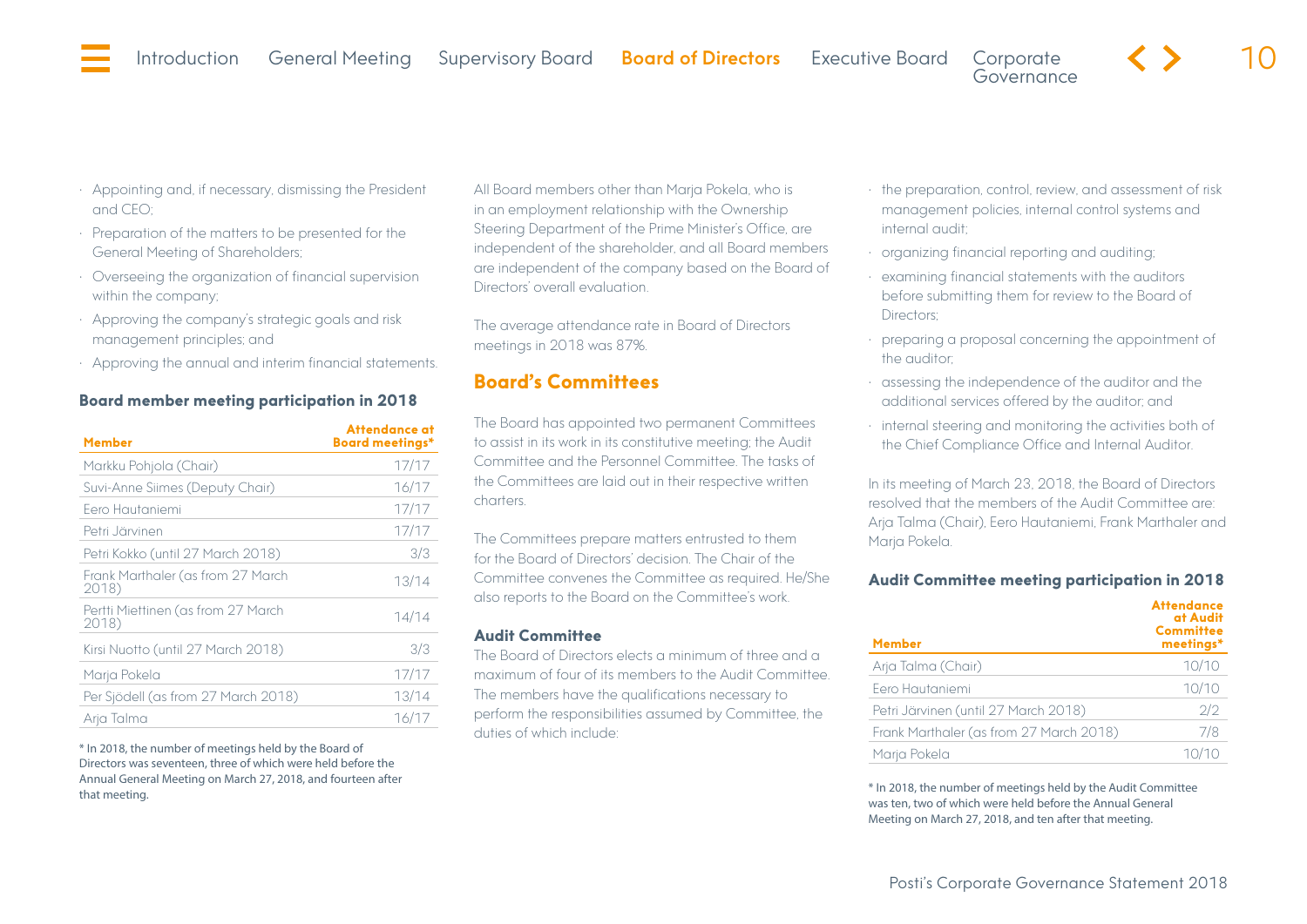- <span id="page-9-0"></span>• Appointing and, if necessary, dismissing the President and CEO;
- Preparation of the matters to be presented for the General Meeting of Shareholders;
- Overseeing the organization of financial supervision within the company;
- Approving the company's strategic goals and risk management principles; and
- Approving the annual and interim financial statements.

# **Board member meeting participation in 2018**

| <b>Member</b>                               | Attendance at<br>Board meetings* |
|---------------------------------------------|----------------------------------|
| Markku Pohjola (Chair)                      | 17/17                            |
| Suvi-Anne Siimes (Deputy Chair)             | 16/17                            |
| Eero Hautaniemi                             | 17/17                            |
| Petri Järvinen                              | 17/17                            |
| Petri Kokko (until 27 March 2018)           | 3/3                              |
| Frank Marthaler (as from 27 March<br>2018)  | 13/14                            |
| Pertti Miettinen (as from 27 March<br>2018) | 14/14                            |
| Kirsi Nuotto (until 27 March 2018)          | 3/3                              |
| Marja Pokela                                | 17/17                            |
| Per Sjödell (as from 27 March 2018)         | 13/14                            |
| Arja Talma                                  | 16/17                            |

\* In 2018, the number of meetings held by the Board of Directors was seventeen, three of which were held before the Annual General Meeting on March 27, 2018, and fourteen after that meeting.

All Board members other than Marja Pokela, who is in an employment relationship with the Ownership Steering Department of the Prime Minister's Office, are independent of the shareholder, and all Board members are independent of the company based on the Board of Directors' overall evaluation.

The average attendance rate in Board of Directors meetings in 2018 was 87%.

# **Board's Committees**

The Board has appointed two permanent Committees to assist in its work in its constitutive meeting; the Audit Committee and the Personnel Committee. The tasks of the Committees are laid out in their respective written charters.

The Committees prepare matters entrusted to them for the Board of Directors' decision. The Chair of the Committee convenes the Committee as required. He/She also reports to the Board on the Committee's work.

#### **Audit Committee**

The Board of Directors elects a minimum of three and a maximum of four of its members to the Audit Committee. The members have the qualifications necessary to perform the responsibilities assumed by Committee, the duties of which include:

- the preparation, control, review, and assessment of risk management policies, internal control systems and internal audit;
- organizing financial reporting and auditing;
- examining financial statements with the auditors before submitting them for review to the Board of Directors;
- preparing a proposal concerning the appointment of the auditor;
- assessing the independence of the auditor and the additional services offered by the auditor; and
- internal steering and monitoring the activities both of the Chief Compliance Office and Internal Auditor.

In its meeting of March 23, 2018, the Board of Directors resolved that the members of the Audit Committee are: Arja Talma (Chair), Eero Hautaniemi, Frank Marthaler and Marja Pokela.

## **Audit Committee meeting participation in 2018**

| <b>Member</b>                           | <b>Attendance</b><br>at Audit<br><b>Committee</b><br>meetings* |
|-----------------------------------------|----------------------------------------------------------------|
| Arja Talma (Chair)                      | 10/10                                                          |
| Fero Hautaniemi                         | 10/10                                                          |
| Petri Järvinen (until 27 March 2018)    | 2/2                                                            |
| Frank Marthaler (as from 27 March 2018) | 7/8                                                            |
| Marja Pokela                            |                                                                |

\* In 2018, the number of meetings held by the Audit Committee was ten, two of which were held before the Annual General Meeting on March 27, 2018, and ten after that meeting.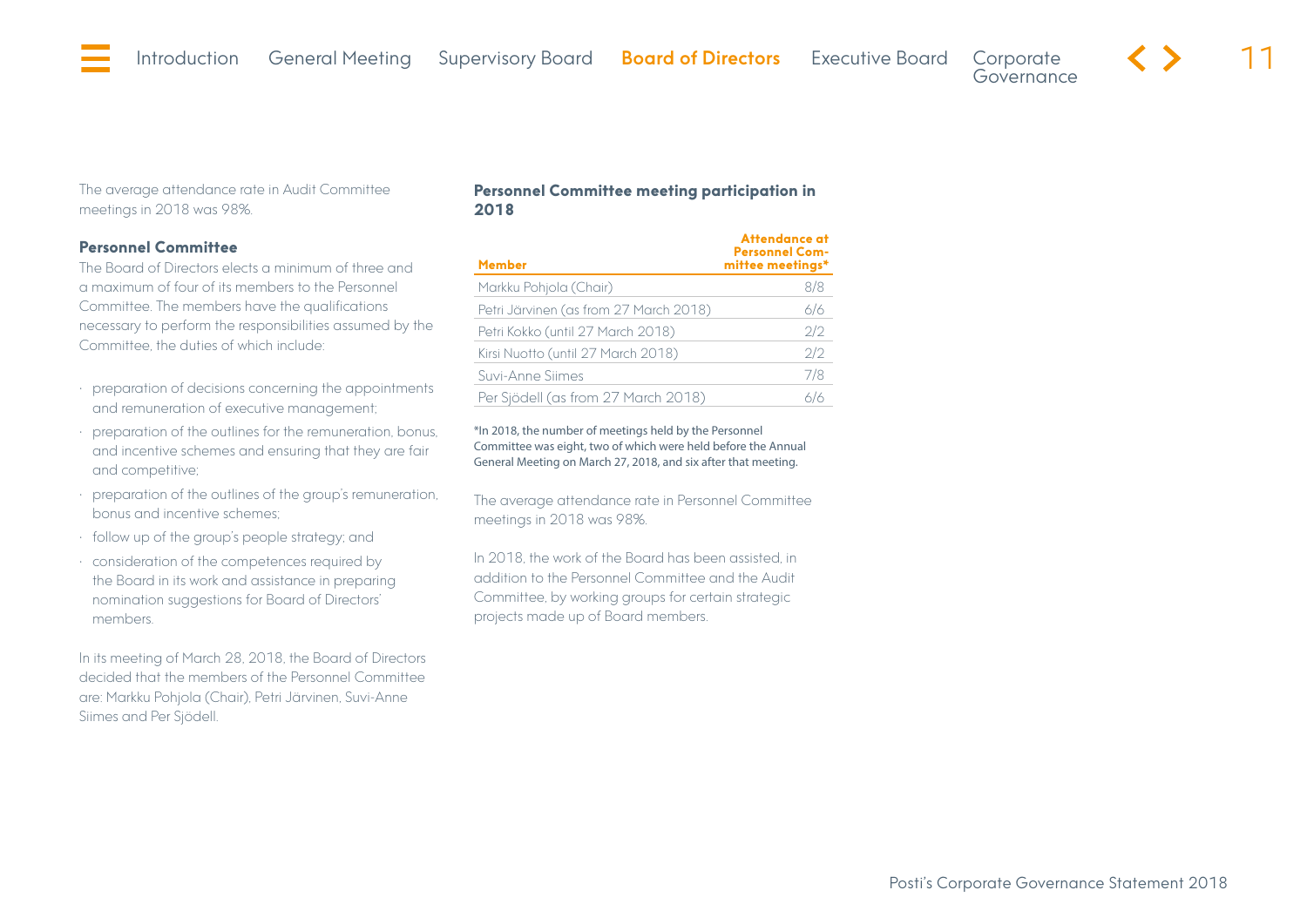<span id="page-10-0"></span>

The average attendance rate in Audit Committee meetings in 2018 was 98%.

#### **Personnel Committee**

The Board of Directors elects a minimum of three and a maximum of four of its members to the Personnel Committee. The members have the qualifications necessary to perform the responsibilities assumed by the Committee, the duties of which include:

- preparation of decisions concerning the appointments and remuneration of executive management;
- preparation of the outlines for the remuneration, bonus, and incentive schemes and ensuring that they are fair and competitive;
- preparation of the outlines of the group's remuneration, bonus and incentive schemes;
- follow up of the group's people strategy; and
- consideration of the competences required by the Board in its work and assistance in preparing nomination suggestions for Board of Directors' members.

In its meeting of March 28, 2018, the Board of Directors decided that the members of the Personnel Committee are: Markku Pohjola (Chair), Petri Järvinen, Suvi-Anne Siimes and Per Sjödell.

#### **Personnel Committee meeting participation in 2018**

| <b>Member</b>                          | Attendance at<br><b>Personnel Com-</b><br>mittee meetings* |
|----------------------------------------|------------------------------------------------------------|
| Markku Pohjola (Chair)                 | 8/8                                                        |
| Petri Järvinen (as from 27 March 2018) | 6/6                                                        |
| Petri Kokko (until 27 March 2018)      | 2/2                                                        |
| Kirsi Nuotto (until 27 March 2018)     | 2/2                                                        |
| Suvi-Anne Siimes                       | 7/8                                                        |
| Per Sjödell (as from 27 March 2018)    |                                                            |

\*In 2018, the number of meetings held by the Personnel Committee was eight, two of which were held before the Annual General Meeting on March 27, 2018, and six after that meeting.

The average attendance rate in Personnel Committee meetings in 2018 was 98%.

In 2018, the work of the Board has been assisted, in addition to the Personnel Committee and the Audit Committee, by working groups for certain strategic projects made up of Board members.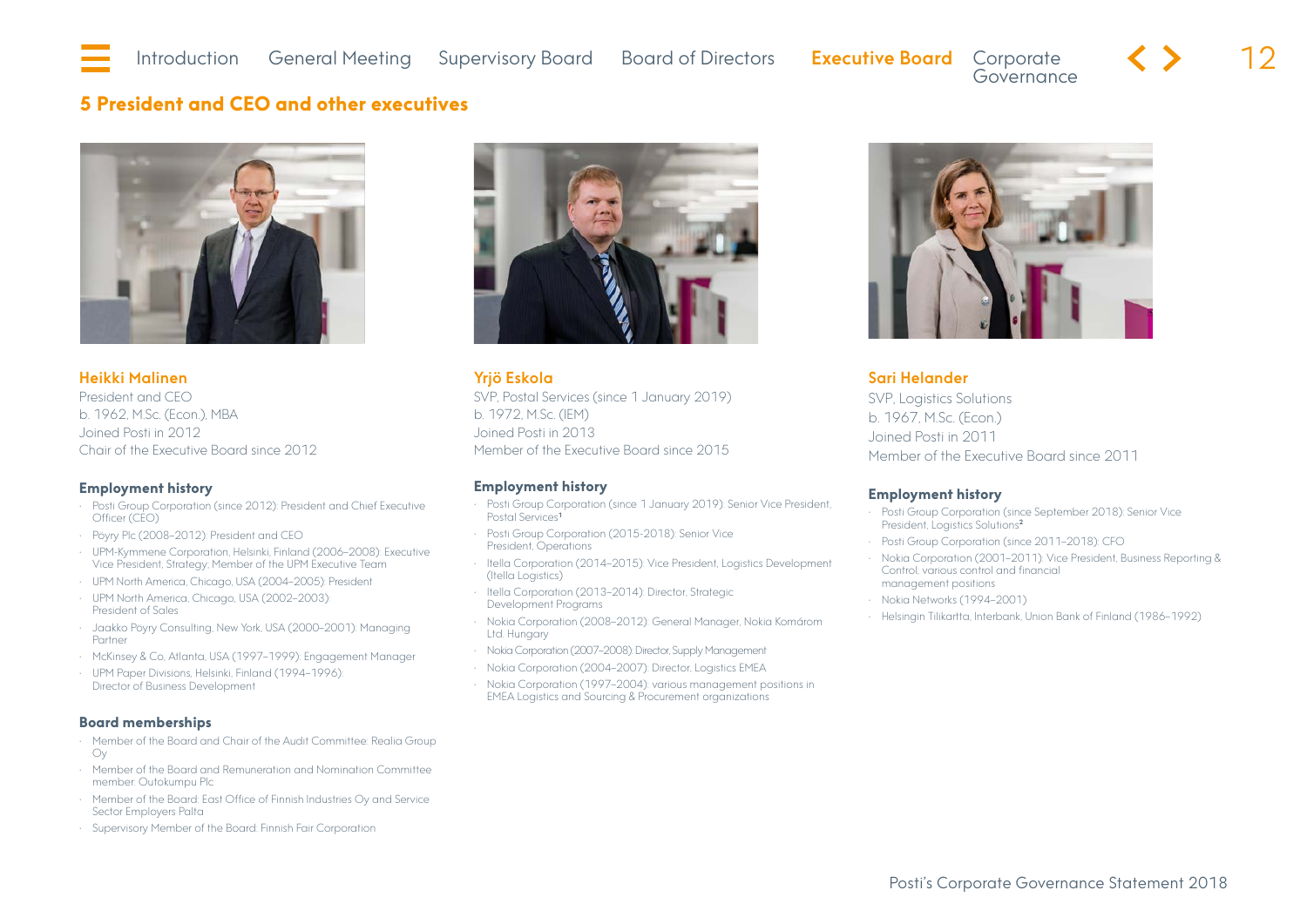# <span id="page-11-0"></span>**5 President and CEO and other executives**



Heikki Malinen President and CEO b. 1962, M.Sc. (Econ.), MBA Joined Posti in 2012 Chair of the Executive Board since 2012

#### **Employment history**

- Posti Group Corporation (since 2012): President and Chief Executive Officer (CFO)
- Pöyry Plc (2008–2012): President and CEO
- UPM-Kymmene Corporation, Helsinki, Finland (2006–2008): Executive Vice President, Strategy; Member of the UPM Executive Team
- UPM North America, Chicago, USA (2004–2005): President
- UPM North America, Chicago, USA (2002–2003): President of Sales
- Jaakko Pöyry Consulting, New York, USA (2000–2001): Managing Partner
- McKinsey & Co, Atlanta, USA (1997–1999): Engagement Manager
- UPM Paper Divisions, Helsinki, Finland (1994–1996): Director of Business Development

#### **Board memberships**

- Member of the Board and Chair of the Audit Committee: Realia Group Oy
- Member of the Board and Remuneration and Nomination Committee member: Outokumpu Plc
- Member of the Board: East Office of Finnish Industries Oy and Service Sector Employers Palta
- Supervisory Member of the Board: Finnish Fair Corporation



Yrjö Eskola SVP, Postal Services (since 1 January 2019) b. 1972, M.Sc. (IEM) Joined Posti in 2013 Member of the Executive Board since 2015

#### **Employment history**

- Posti Group Corporation (since 1 January 2019): Senior Vice President, Postal Services<sup>1</sup>
- Posti Group Corporation (2015-2018): Senior Vice President, Operations
- Itella Corporation (2014–2015): Vice President, Logistics Development (Itella Logistics)
- Itella Corporation (2013-2014): Director, Strategic Development Programs
- Nokia Corporation (2008–2012): General Manager, Nokia Komárom Ltd. Hungary
- Nokia Corporation (2007–2008): Director, Supply Management
- Nokia Corporation (2004–2007): Director, Logistics EMEA
- Nokia Corporation (1997–2004): various management positions in EMEA Logistics and Sourcing & Procurement organizations



Sari Helander SVP, Logistics Solutions b. 1967, M.Sc. (Econ.) Joined Posti in 2011 Member of the Executive Board since 2011

#### **Employment history**

- Posti Group Corporation (since September 2018): Senior Vice President, Logistics Solutions<sup>2</sup>
- Posti Group Corporation (since 2011-2018): CFO
- Nokia Corporation (2001–2011): Vice President, Business Reporting & Control; various control and financial management positions
- Nokia Networks (1994–2001)
- Helsingin Tilikartta, Interbank, Union Bank of Finland (1986–1992)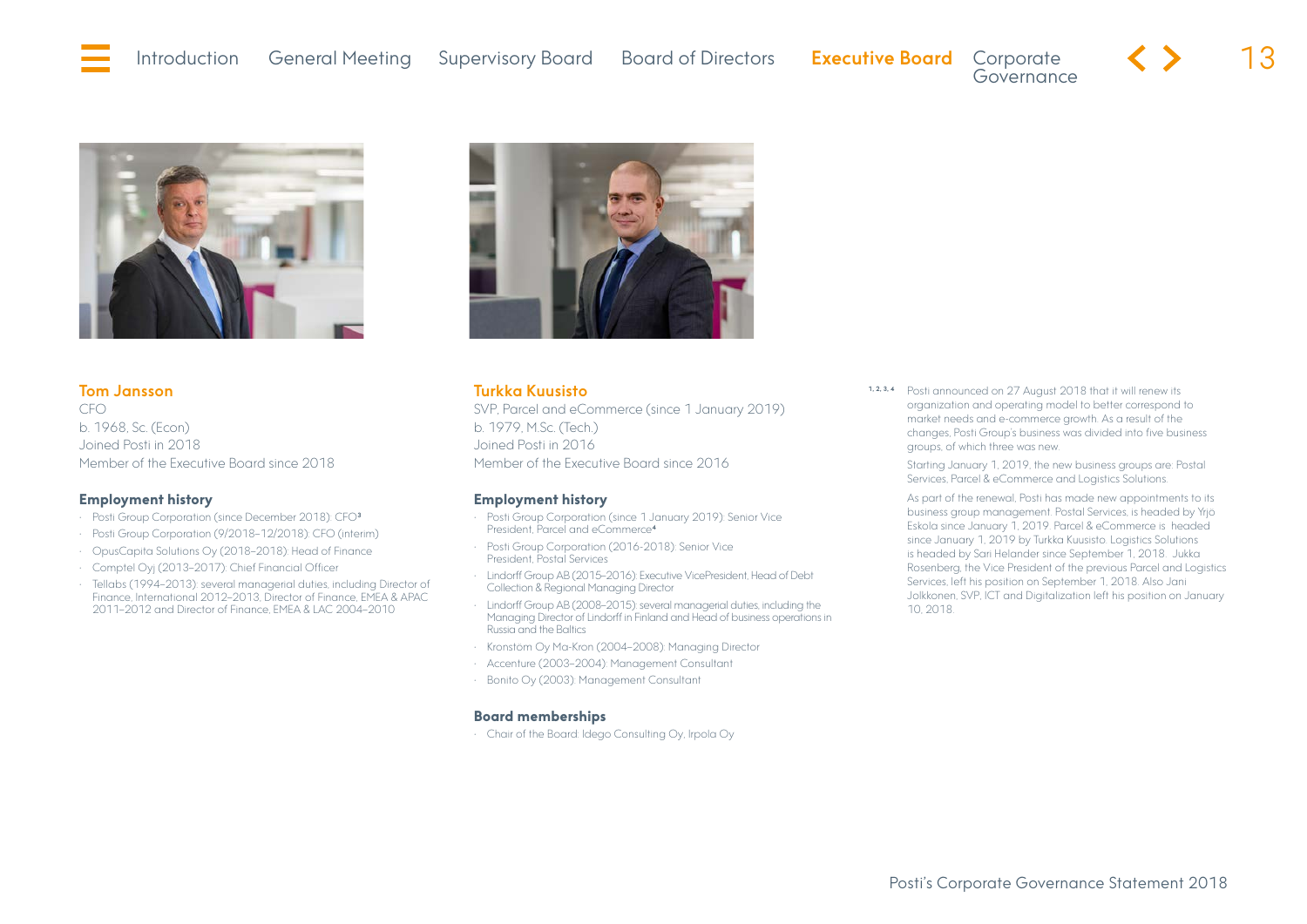

#### Tom Jansson

CFO b. 1968, Sc. (Econ) Joined Posti in 2018 Member of the Executive Board since 2018

#### **Employment history**

- Posti Group Corporation (since December 2018): CFO<sup>3</sup>
- Posti Group Corporation (9/2018-12/2018): CFO (interim)
- OpusCapita Solutions Oy (2018–2018): Head of Finance
- Comptel Oyj (2013–2017): Chief Financial Officer
- Tellabs (1994–2013): several managerial duties, including Director of Finance, International 2012–2013, Director of Finance, EMEA & APAC 2011–2012 and Director of Finance, EMEA & LAC 2004–2010



#### Turkka Kuusisto

SVP, Parcel and eCommerce (since 1 January 2019) b. 1979, M.Sc. (Tech.) Joined Posti in 2016 Member of the Executive Board since 2016

#### **Employment history**

- Posti Group Corporation (since 1 January 2019): Senior Vice President, Parcel and eCommerce<sup>4</sup>
- Posti Group Corporation (2016-2018): Senior Vice President, Postal Services
- Lindorff Group AB (2015–2016): Executive VicePresident, Head of Debt Collection & Regional Managing Director
- Lindorff Group AB (2008–2015): several managerial duties, including the Managing Director of Lindorff in Finland and Head of business operations in Russia and the Baltics
- Kronstöm Oy Ma-Kron (2004–2008): Managing Director
- Accenture (2003–2004): Management Consultant
- Bonito Oy (2003): Management Consultant

#### **Board memberships**

• Chair of the Board: Idego Consulting Oy, Irpola Oy

1, 2, 3, 4 Posti announced on 27 August 2018 that it will renew its organization and operating model to better correspond to market needs and e-commerce growth. As a result of the changes, Posti Group's business was divided into five business groups, of which three was new.

> Starting January 1, 2019, the new business groups are: Postal Services, Parcel & eCommerce and Logistics Solutions.

As part of the renewal, Posti has made new appointments to its business group management. Postal Services, is headed by Yrjö Eskola since January 1, 2019. Parcel & eCommerce is headed since January 1, 2019 by Turkka Kuusisto. Logistics Solutions is headed by Sari Helander since September 1, 2018. Jukka Rosenberg, the Vice President of the previous Parcel and Logistics Services, left his position on September 1, 2018. Also Jani Jolkkonen, SVP, ICT and Digitalization left his position on January 10, 2018.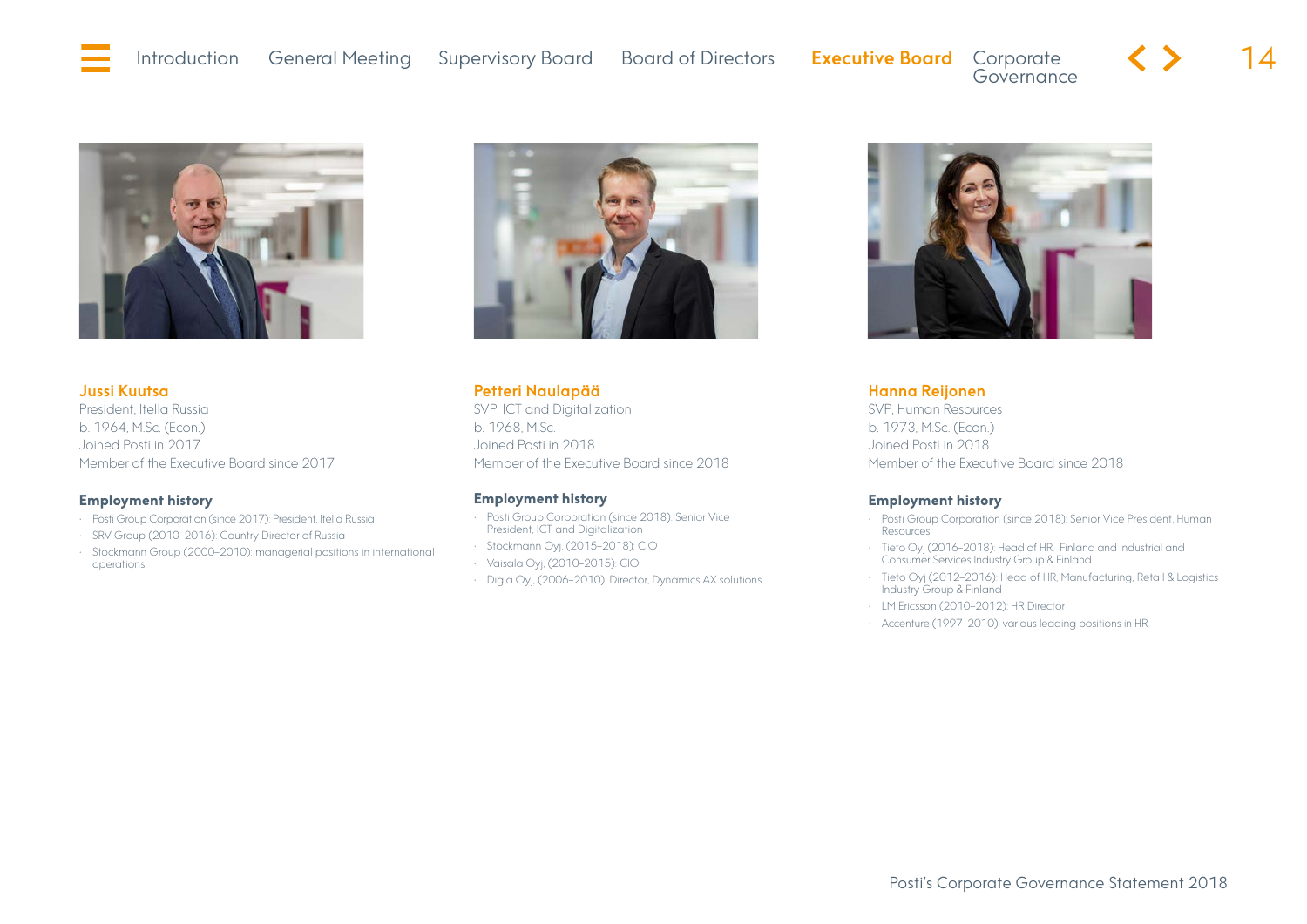

#### [Introduction](#page-2-0) [General Meeting](#page-3-0) [Supervisory Board](#page-3-0) Board of Directors **Executive Board** Corporate Governance Executive Board



#### Jussi Kuutsa

President, Itella Russia b. 1964, M.Sc. (Econ.) Joined Posti in 2017 Member of the Executive Board since 2017

#### **Employment history**

- Posti Group Corporation (since 2017): President, Itella Russia
- SRV Group (2010–2016): Country Director of Russia
- Stockmann Group (2000–2010): managerial positions in international operations



#### Petteri Naulapää

SVP, ICT and Digitalization b. 1968, M.Sc. Joined Posti in 2018 Member of the Executive Board since 2018

#### **Employment history**

- Posti Group Corporation (since 2018): Senior Vice President, ICT and Digitalization
- Stockmann Oyj, (2015–2018): CIO
- Vaisala Oyj, (2010–2015): CIO
- Digia Oyj, (2006–2010): Director, Dynamics AX solutions



Hanna Reijonen SVP, Human Resources b. 1973, M.Sc. (Econ.)

Joined Posti in 2018 Member of the Executive Board since 2018

#### **Employment history**

- Posti Group Corporation (since 2018): Senior Vice President, Human Resources
- Tieto Oyj (2016–2018): Head of HR, Finland and Industrial and Consumer Services Industry Group & Finland
- Tieto Oyj (2012–2016): Head of HR, Manufacturing, Retail & Logistics Industry Group & Finland
- LM Ericsson (2010-2012): HR Director
- Accenture (1997–2010): various leading positions in HR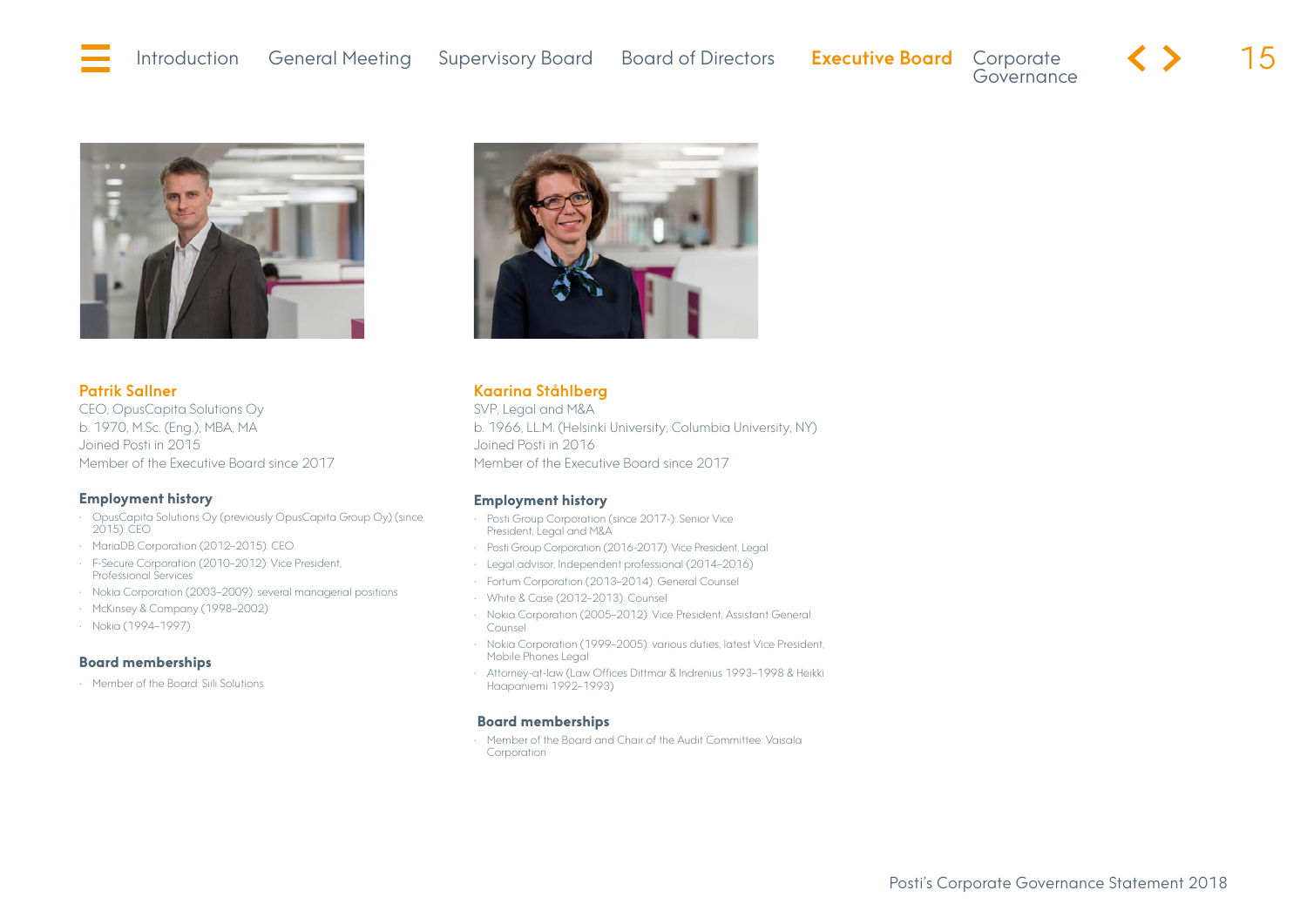

#### Patrik Sallner

CEO, OpusCapita Solutions Oy b. 1970, M.Sc. (Eng.), MBA, MA Joined Posti in 2015 Member of the Executive Board since 2017

#### **Employment history**

- OpusCapita Solutions Oy (previously OpusCapita Group Oy) (since 2015): CEO
- MariaDB Corporation (2012–2015): CEO
- F-Secure Corporation (2010–2012): Vice President, Professional Services
- Nokia Corporation (2003–2009): several managerial positions
- McKinsey & Company (1998–2002)
- Nokia (1994–1997)

#### **Board memberships**

• Member of the Board: Siili Solutions



#### Kaarina Ståhlberg

SVP, Legal and M&A b. 1966, LL.M. (Helsinki University, Columbia University, NY) Joined Posti in 2016 Member of the Executive Board since 2017

#### **Employment history**

- Posti Group Corporation (since 2017-): Senior Vice President, Legal and M&A
- Posti Group Corporation (2016-2017): Vice President, Legal
- Legal advisor, Independent professional (2014–2016)
- Fortum Corporation (2013–2014): General Counsel
- White & Case (2012–2013): Counsel
- Nokia Corporation (2005–2012): Vice President, Assistant General Counsel
- Nokia Corporation (1999–2005): various duties, latest Vice President, Mobile Phones Legal
- Attorney-at-law (Law Offices Dittmar & Indrenius 1993–1998 & Heikki Haapaniemi 1992–1993)

#### **Board memberships**

• Member of the Board and Chair of the Audit Committee: Vaisala Corporation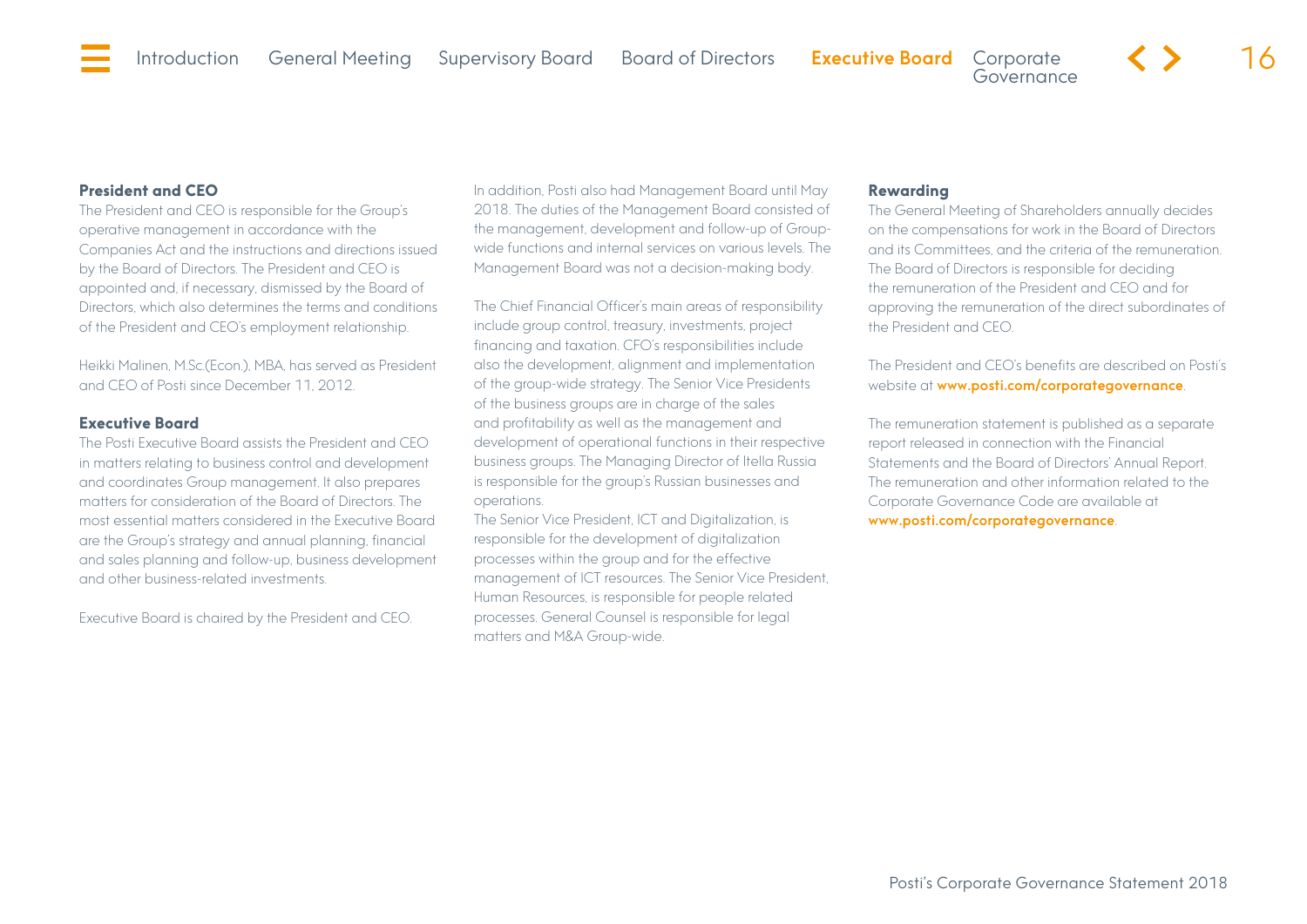#### <span id="page-15-0"></span>**President and CEO**

The President and CEO is responsible for the Group's operative management in accordance with the Companies Act and the instructions and directions issued by the Board of Directors. The President and CEO is appointed and, if necessary, dismissed by the Board of Directors, which also determines the terms and conditions of the President and CEO's employment relationship.

Heikki Malinen, M.Sc.(Econ.), MBA, has served as President and CEO of Posti since December 11, 2012.

#### **Executive Board**

The Posti Executive Board assists the President and CEO in matters relating to business control and development and coordinates Group management. It also prepares matters for consideration of the Board of Directors. The most essential matters considered in the Executive Board are the Group's strategy and annual planning, financial and sales planning and follow-up, business development and other business-related investments.

Executive Board is chaired by the President and CEO.

In addition, Posti also had Management Board until May 2018. The duties of the Management Board consisted of the management, development and follow-up of Groupwide functions and internal services on various levels. The Management Board was not a decision-making body.

The Chief Financial Officer's main areas of responsibility include group control, treasury, investments, project financing and taxation. CFO's responsibilities include also the development, alignment and implementation of the group-wide strategy. The Senior Vice Presidents of the business groups are in charge of the sales and profitability as well as the management and development of operational functions in their respective business groups. The Managing Director of Itella Russia is responsible for the group's Russian businesses and operations.

The Senior Vice President, ICT and Digitalization, is responsible for the development of digitalization processes within the group and for the effective management of ICT resources. The Senior Vice President, Human Resources, is responsible for people related processes. General Counsel is responsible for legal matters and M&A Group-wide.

#### **Rewarding**

The General Meeting of Shareholders annually decides on the compensations for work in the Board of Directors and its Committees, and the criteria of the remuneration. The Board of Directors is responsible for deciding the remuneration of the President and CEO and for approving the remuneration of the direct subordinates of the President and CEO.

The President and CEO's benefits are described on Posti's website at [www.posti.com/corporategovernance](https://www.posti.com/en/governance/).

The remuneration statement is published as a separate report released in connection with the Financial Statements and the Board of Directors' Annual Report. The remuneration and other information related to the Corporate Governance Code are available at [www.posti.com/corporategovernance](https://www.posti.com/en/governance/).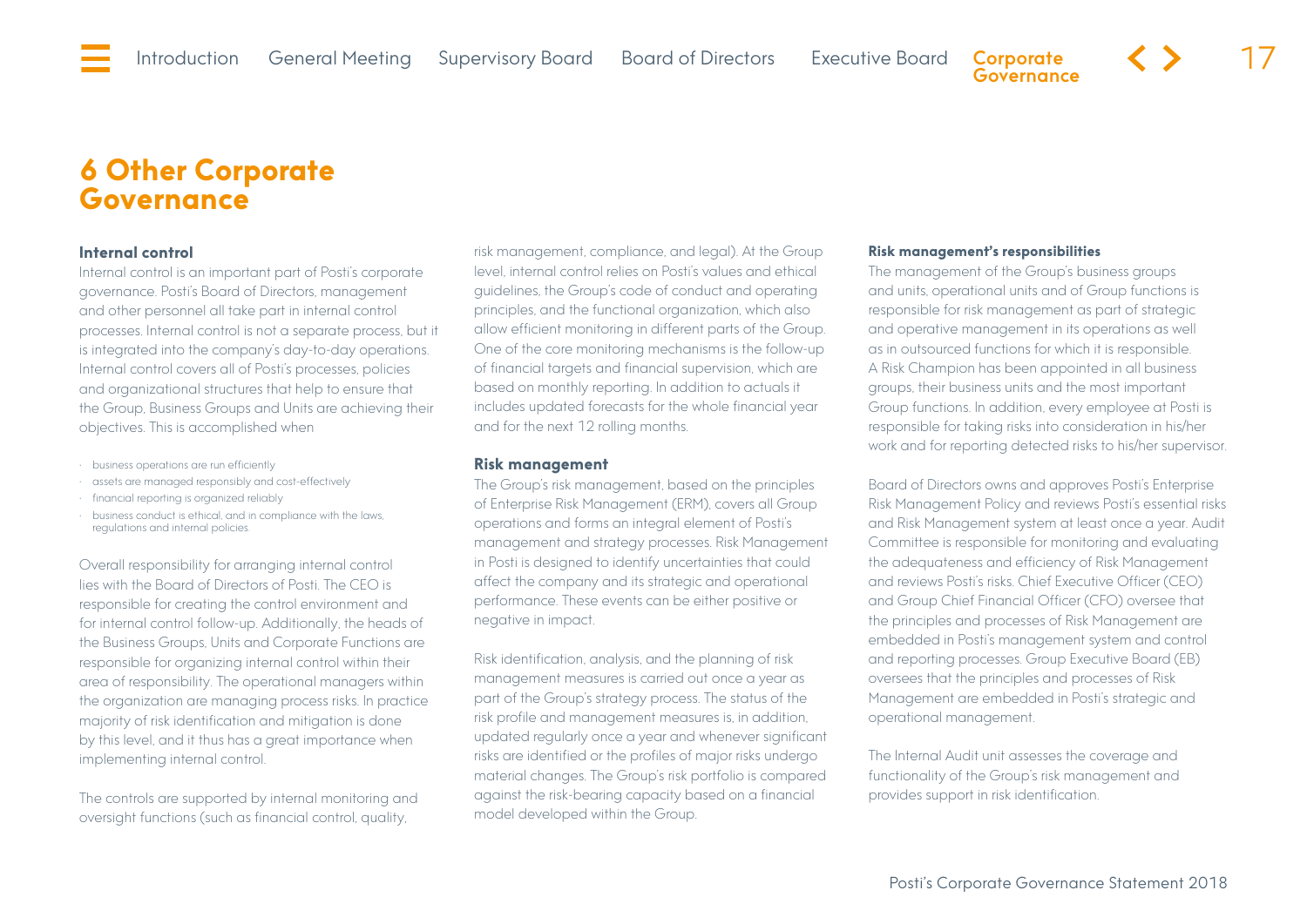# <span id="page-16-0"></span>**6 Other Corporate Governance**

#### **Internal control**

Internal control is an important part of Posti's corporate governance. Posti's Board of Directors, management and other personnel all take part in internal control processes. Internal control is not a separate process, but it is integrated into the company's day-to-day operations. Internal control covers all of Posti's processes, policies and organizational structures that help to ensure that the Group, Business Groups and Units are achieving their objectives. This is accomplished when

- business operations are run efficiently
- assets are managed responsibly and cost-effectively
- financial reporting is organized reliably
- business conduct is ethical, and in compliance with the laws, regulations and internal policies.

Overall responsibility for arranging internal control lies with the Board of Directors of Posti. The CEO is responsible for creating the control environment and for internal control follow-up. Additionally, the heads of the Business Groups, Units and Corporate Functions are responsible for organizing internal control within their area of responsibility. The operational managers within the organization are managing process risks. In practice majority of risk identification and mitigation is done by this level, and it thus has a great importance when implementing internal control.

The controls are supported by internal monitoring and oversight functions (such as financial control, quality,

risk management, compliance, and legal). At the Group level, internal control relies on Posti's values and ethical guidelines, the Group's code of conduct and operating principles, and the functional organization, which also allow efficient monitoring in different parts of the Group. One of the core monitoring mechanisms is the follow-up of financial targets and financial supervision, which are based on monthly reporting. In addition to actuals it includes updated forecasts for the whole financial year and for the next 12 rolling months.

#### **Risk management**

The Group's risk management, based on the principles of Enterprise Risk Management (ERM), covers all Group operations and forms an integral element of Posti's management and strategy processes. Risk Management in Posti is designed to identify uncertainties that could affect the company and its strategic and operational performance. These events can be either positive or negative in impact.

Risk identification, analysis, and the planning of risk management measures is carried out once a year as part of the Group's strategy process. The status of the risk profile and management measures is, in addition, updated regularly once a year and whenever significant risks are identified or the profiles of major risks undergo material changes. The Group's risk portfolio is compared against the risk-bearing capacity based on a financial model developed within the Group.

#### **Risk management's responsibilities**

The management of the Group's business groups and units, operational units and of Group functions is responsible for risk management as part of strategic and operative management in its operations as well as in outsourced functions for which it is responsible. A Risk Champion has been appointed in all business groups, their business units and the most important Group functions. In addition, every employee at Posti is responsible for taking risks into consideration in his/her work and for reporting detected risks to his/her supervisor.

**Governance** 

Board of Directors owns and approves Posti's Enterprise Risk Management Policy and reviews Posti's essential risks and Risk Management system at least once a year. Audit Committee is responsible for monitoring and evaluating the adequateness and efficiency of Risk Management and reviews Posti's risks. Chief Executive Officer (CEO) and Group Chief Financial Officer (CFO) oversee that the principles and processes of Risk Management are embedded in Posti's management system and control and reporting processes. Group Executive Board (EB) oversees that the principles and processes of Risk Management are embedded in Posti's strategic and operational management.

The Internal Audit unit assesses the coverage and functionality of the Group's risk management and provides support in risk identification.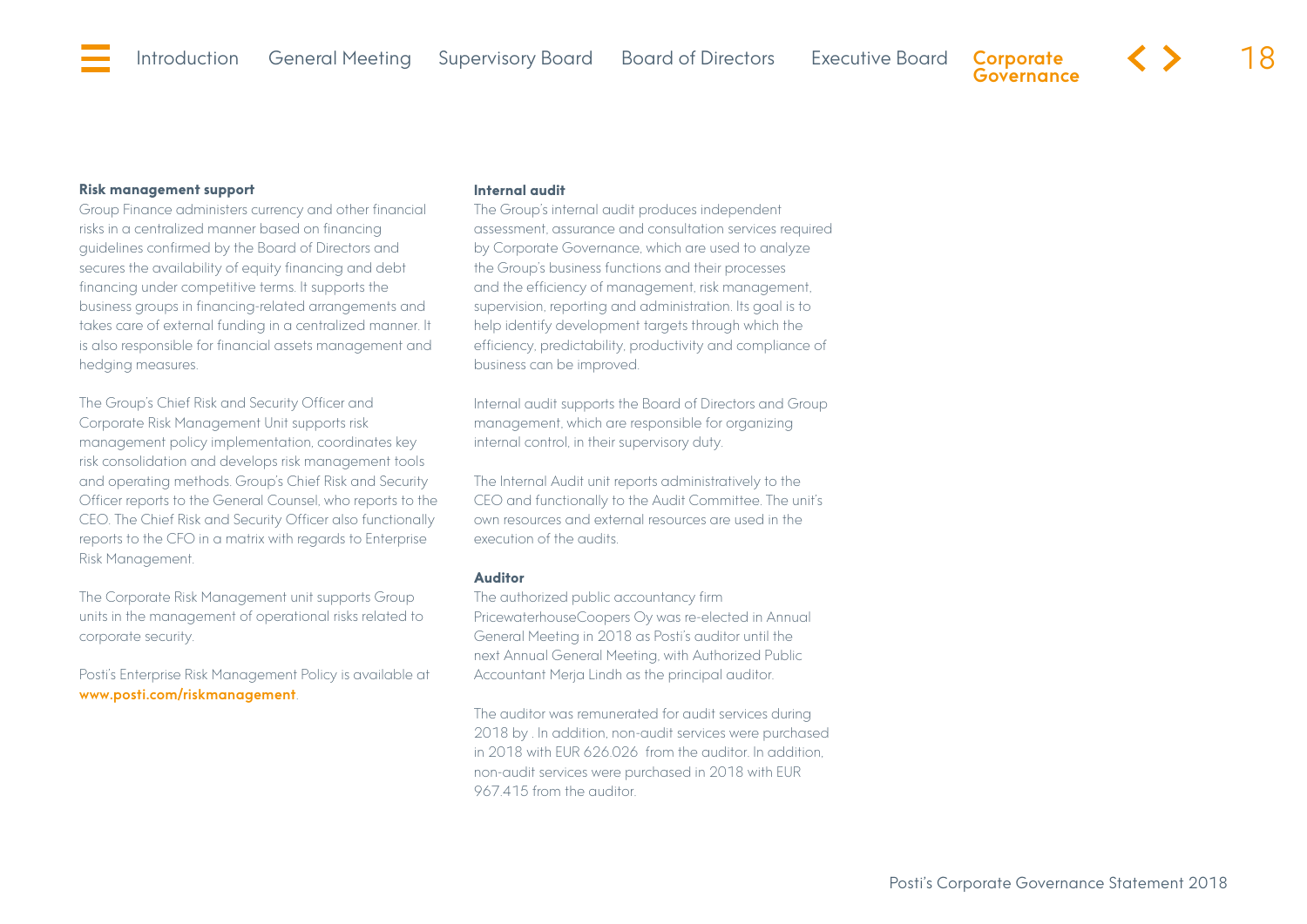Governance

18

#### <span id="page-17-0"></span>**Risk management support**

Group Finance administers currency and other financial risks in a centralized manner based on financing guidelines confirmed by the Board of Directors and secures the availability of equity financing and debt financing under competitive terms. It supports the business groups in financing-related arrangements and takes care of external funding in a centralized manner. It is also responsible for financial assets management and hedging measures.

The Group's Chief Risk and Security Officer and Corporate Risk Management Unit supports risk management policy implementation, coordinates key risk consolidation and develops risk management tools and operating methods. Group's Chief Risk and Security Officer reports to the General Counsel, who reports to the CEO. The Chief Risk and Security Officer also functionally reports to the CFO in a matrix with regards to Enterprise Risk Management.

The Corporate Risk Management unit supports Group units in the management of operational risks related to corporate security.

Posti's Enterprise Risk Management Policy is available at [www.posti.com/riskmanagement](https://www.posti.com/en/riskmanagement).

#### **Internal audit**

The Group's internal audit produces independent assessment, assurance and consultation services required by Corporate Governance, which are used to analyze the Group's business functions and their processes and the efficiency of management, risk management, supervision, reporting and administration. Its goal is to help identify development targets through which the efficiency, predictability, productivity and compliance of business can be improved.

Internal audit supports the Board of Directors and Group management, which are responsible for organizing internal control, in their supervisory duty.

The Internal Audit unit reports administratively to the CEO and functionally to the Audit Committee. The unit's own resources and external resources are used in the execution of the audits.

#### **Auditor**

The authorized public accountancy firm PricewaterhouseCoopers Oy was re-elected in Annual General Meeting in 2018 as Posti's auditor until the next Annual General Meeting, with Authorized Public Accountant Merja Lindh as the principal auditor.

The auditor was remunerated for audit services during 2018 by . In addition, non-audit services were purchased in 2018 with EUR 626.026, from the auditor. In addition non-audit services were purchased in 2018 with EUR 967.415 from the auditor.